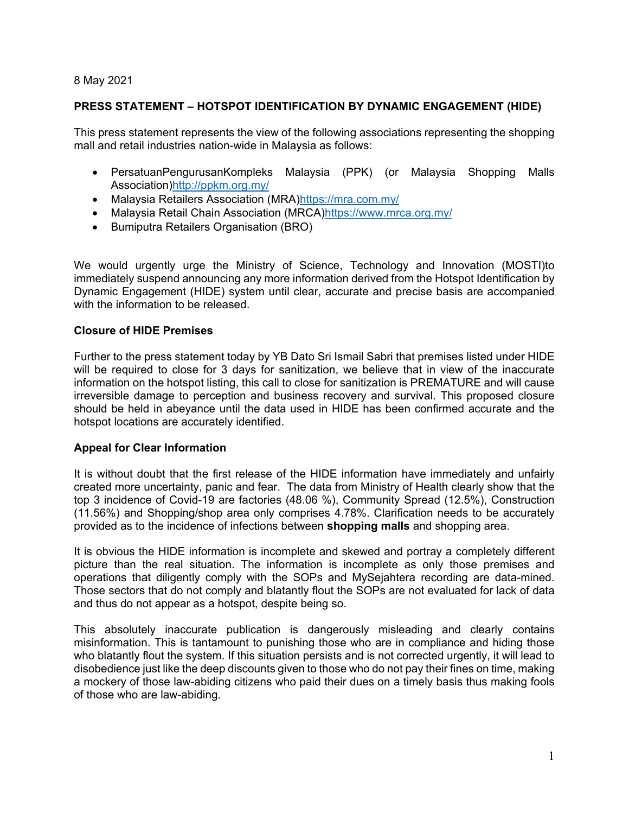#### 8 May 2021

## **PRESS STATEMENT – HOTSPOT IDENTIFICATION BY DYNAMIC ENGAGEMENT (HIDE)**

This press statement represents the view of the following associations representing the shopping mall and retail industries nation-wide in Malaysia as follows:

- PersatuanPengurusanKompleks Malaysia (PPK) (or Malaysia Shopping Malls Association)http://ppkm.org.my/
- Malaysia Retailers Association (MRA)https://mra.com.my/
- Malaysia Retail Chain Association (MRCA)https://www.mrca.org.my/
- **•** Bumiputra Retailers Organisation (BRO)

We would urgently urge the Ministry of Science, Technology and Innovation (MOSTI)to immediately suspend announcing any more information derived from the Hotspot Identification by Dynamic Engagement (HIDE) system until clear, accurate and precise basis are accompanied with the information to be released.

## **Closure of HIDE Premises**

Further to the press statement today by YB Dato Sri Ismail Sabri that premises listed under HIDE will be required to close for 3 days for sanitization, we believe that in view of the inaccurate information on the hotspot listing, this call to close for sanitization is PREMATURE and will cause irreversible damage to perception and business recovery and survival. This proposed closure should be held in abeyance until the data used in HIDE has been confirmed accurate and the hotspot locations are accurately identified.

#### **Appeal for Clear Information**

It is without doubt that the first release of the HIDE information have immediately and unfairly created more uncertainty, panic and fear. The data from Ministry of Health clearly show that the top 3 incidence of Covid-19 are factories (48.06 %), Community Spread (12.5%), Construction (11.56%) and Shopping/shop area only comprises 4.78%. Clarification needs to be accurately provided as to the incidence of infections between **shopping malls** and shopping area.

It is obvious the HIDE information is incomplete and skewed and portray a completely different picture than the real situation. The information is incomplete as only those premises and operations that diligently comply with the SOPs and MySejahtera recording are data-mined. Those sectors that do not comply and blatantly flout the SOPs are not evaluated for lack of data and thus do not appear as a hotspot, despite being so.

This absolutely inaccurate publication is dangerously misleading and clearly contains misinformation. This is tantamount to punishing those who are in compliance and hiding those who blatantly flout the system. If this situation persists and is not corrected urgently, it will lead to disobedience just like the deep discounts given to those who do not pay their fines on time, making a mockery of those law-abiding citizens who paid their dues on a timely basis thus making fools of those who are law-abiding.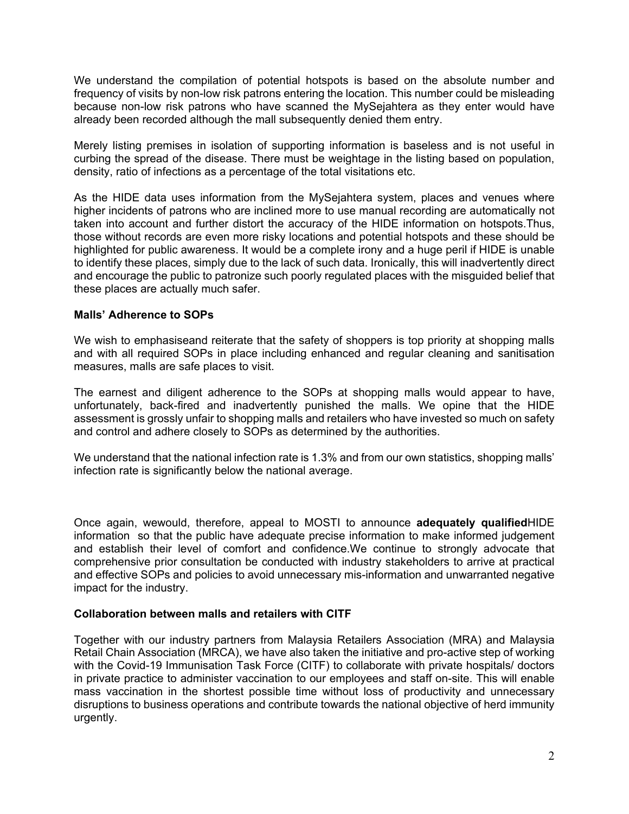We understand the compilation of potential hotspots is based on the absolute number and frequency of visits by non-low risk patrons entering the location. This number could be misleading because non-low risk patrons who have scanned the MySejahtera as they enter would have already been recorded although the mall subsequently denied them entry.

Merely listing premises in isolation of supporting information is baseless and is not useful in curbing the spread of the disease. There must be weightage in the listing based on population, density, ratio of infections as a percentage of the total visitations etc.

As the HIDE data uses information from the MySejahtera system, places and venues where higher incidents of patrons who are inclined more to use manual recording are automatically not taken into account and further distort the accuracy of the HIDE information on hotspots.Thus, those without records are even more risky locations and potential hotspots and these should be highlighted for public awareness. It would be a complete irony and a huge peril if HIDE is unable to identify these places, simply due to the lack of such data. Ironically, this will inadvertently direct and encourage the public to patronize such poorly regulated places with the misguided belief that these places are actually much safer.

## **Malls' Adherence to SOPs**

We wish to emphasiseand reiterate that the safety of shoppers is top priority at shopping malls and with all required SOPs in place including enhanced and regular cleaning and sanitisation measures, malls are safe places to visit.

The earnest and diligent adherence to the SOPs at shopping malls would appear to have, unfortunately, back-fired and inadvertently punished the malls. We opine that the HIDE assessment is grossly unfair to shopping malls and retailers who have invested so much on safety and control and adhere closely to SOPs as determined by the authorities.

We understand that the national infection rate is 1.3% and from our own statistics, shopping malls' infection rate is significantly below the national average.

Once again, wewould, therefore, appeal to MOSTI to announce **adequately qualified**HIDE information so that the public have adequate precise information to make informed judgement and establish their level of comfort and confidence.We continue to strongly advocate that comprehensive prior consultation be conducted with industry stakeholders to arrive at practical and effective SOPs and policies to avoid unnecessary mis-information and unwarranted negative impact for the industry.

#### **Collaboration between malls and retailers with CITF**

Together with our industry partners from Malaysia Retailers Association (MRA) and Malaysia Retail Chain Association (MRCA), we have also taken the initiative and pro-active step of working with the Covid-19 Immunisation Task Force (CITF) to collaborate with private hospitals/ doctors in private practice to administer vaccination to our employees and staff on-site. This will enable mass vaccination in the shortest possible time without loss of productivity and unnecessary disruptions to business operations and contribute towards the national objective of herd immunity urgently.